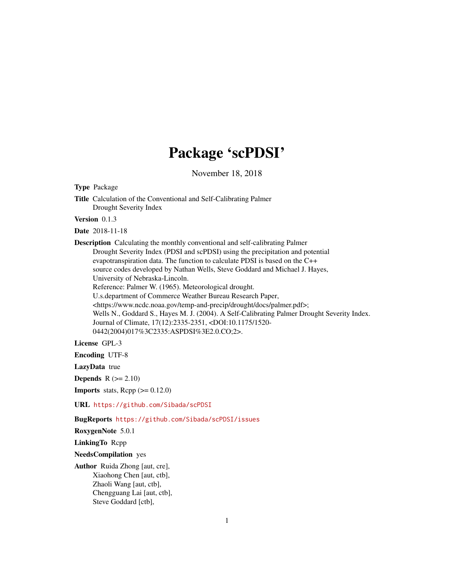## Package 'scPDSI'

November 18, 2018 Type Package Title Calculation of the Conventional and Self-Calibrating Palmer Drought Severity Index Version 0.1.3 Date 2018-11-18 Description Calculating the monthly conventional and self-calibrating Palmer Drought Severity Index (PDSI and scPDSI) using the precipitation and potential evapotranspiration data. The function to calculate PDSI is based on the C++ source codes developed by Nathan Wells, Steve Goddard and Michael J. Hayes, University of Nebraska-Lincoln. Reference: Palmer W. (1965). Meteorological drought. U.s.department of Commerce Weather Bureau Research Paper, <https://www.ncdc.noaa.gov/temp-and-precip/drought/docs/palmer.pdf>; Wells N., Goddard S., Hayes M. J. (2004). A Self-Calibrating Palmer Drought Severity Index. Journal of Climate, 17(12):2335-2351, <DOI:10.1175/1520- 0442(2004)017%3C2335:ASPDSI%3E2.0.CO;2>. License GPL-3 Encoding UTF-8 LazyData true Depends  $R (= 2.10)$ **Imports** stats, Rcpp  $(>= 0.12.0)$ URL <https://github.com/Sibada/scPDSI> BugReports <https://github.com/Sibada/scPDSI/issues> RoxygenNote 5.0.1 LinkingTo Rcpp NeedsCompilation yes Author Ruida Zhong [aut, cre], Xiaohong Chen [aut, ctb], Zhaoli Wang [aut, ctb], Chengguang Lai [aut, ctb], Steve Goddard [ctb],

1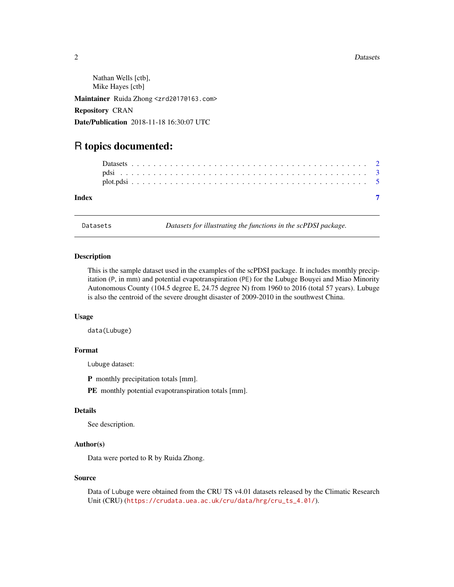#### <span id="page-1-0"></span>2 Datasets

Nathan Wells [ctb], Mike Hayes [ctb] Maintainer Ruida Zhong <zrd2017@163.com> Repository CRAN Date/Publication 2018-11-18 16:30:07 UTC

### R topics documented:

| Index |  |  |  |  |  |  |  |  |  |  |  |  |  |  |  |  |  |  |  |  |  |  |  |
|-------|--|--|--|--|--|--|--|--|--|--|--|--|--|--|--|--|--|--|--|--|--|--|--|
|       |  |  |  |  |  |  |  |  |  |  |  |  |  |  |  |  |  |  |  |  |  |  |  |
|       |  |  |  |  |  |  |  |  |  |  |  |  |  |  |  |  |  |  |  |  |  |  |  |

Datasets *Datasets for illustrating the functions in the scPDSI package.*

#### Description

This is the sample dataset used in the examples of the scPDSI package. It includes monthly precipitation (P, in mm) and potential evapotranspiration (PE) for the Lubuge Bouyei and Miao Minority Autonomous County (104.5 degree E, 24.75 degree N) from 1960 to 2016 (total 57 years). Lubuge is also the centroid of the severe drought disaster of 2009-2010 in the southwest China.

#### Usage

data(Lubuge)

#### Format

Lubuge dataset:

P monthly precipitation totals [mm].

PE monthly potential evapotranspiration totals [mm].

#### Details

See description.

#### Author(s)

Data were ported to R by Ruida Zhong.

#### Source

Data of Lubuge were obtained from the CRU TS v4.01 datasets released by the Climatic Research Unit (CRU) ([https://crudata.uea.ac.uk/cru/data/hrg/cru\\_ts\\_4.01/](https://crudata.uea.ac.uk/cru/data/hrg/cru_ts_4.01/)).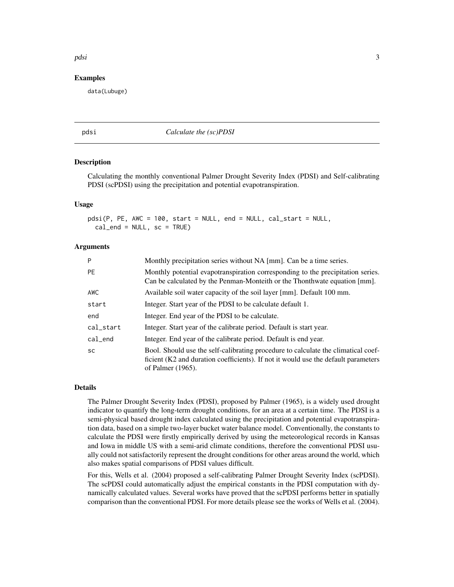#### <span id="page-2-0"></span>pdsi 3

#### Examples

data(Lubuge)

<span id="page-2-1"></span>

#### pdsi *Calculate the (sc)PDSI*

#### Description

Calculating the monthly conventional Palmer Drought Severity Index (PDSI) and Self-calibrating PDSI (scPDSI) using the precipitation and potential evapotranspiration.

#### Usage

```
pdsi(P, PE, AWC = 100, start = NULL, end = NULL, cal_start = NULL,
  cal_{end} = NULL, sc = TRUE)
```
#### **Arguments**

| P          | Monthly precipitation series without NA [mm]. Can be a time series.                                                                                                                          |
|------------|----------------------------------------------------------------------------------------------------------------------------------------------------------------------------------------------|
| <b>PF</b>  | Monthly potential evapotranspiration corresponding to the precipitation series.<br>Can be calculated by the Penman-Monteith or the Thonthwate equation [mm].                                 |
| AWC        | Available soil water capacity of the soil layer [mm]. Default 100 mm.                                                                                                                        |
| start      | Integer. Start year of the PDSI to be calculate default 1.                                                                                                                                   |
| end        | Integer. End year of the PDSI to be calculate.                                                                                                                                               |
| cal_start  | Integer. Start year of the calibrate period. Default is start year.                                                                                                                          |
| $cal$ _end | Integer. End year of the calibrate period. Default is end year.                                                                                                                              |
| <b>SC</b>  | Bool. Should use the self-calibrating procedure to calculate the climatical coef-<br>ficient (K2 and duration coefficients). If not it would use the default parameters<br>of Palmer (1965). |

#### Details

The Palmer Drought Severity Index (PDSI), proposed by Palmer (1965), is a widely used drought indicator to quantify the long-term drought conditions, for an area at a certain time. The PDSI is a semi-physical based drought index calculated using the precipitation and potential evapotranspiration data, based on a simple two-layer bucket water balance model. Conventionally, the constants to calculate the PDSI were firstly empirically derived by using the meteorological records in Kansas and Iowa in middle US with a semi-arid climate conditions, therefore the conventional PDSI usually could not satisfactorily represent the drought conditions for other areas around the world, which also makes spatial comparisons of PDSI values difficult.

For this, Wells et al. (2004) proposed a self-calibrating Palmer Drought Severity Index (scPDSI). The scPDSI could automatically adjust the empirical constants in the PDSI computation with dynamically calculated values. Several works have proved that the scPDSI performs better in spatially comparison than the conventional PDSI. For more details please see the works of Wells et al. (2004).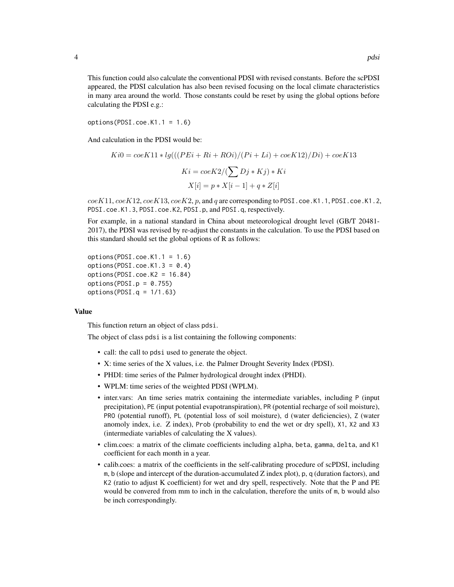This function could also calculate the conventional PDSI with revised constants. Before the scPDSI appeared, the PDSI calculation has also been revised focusing on the local climate characteristics in many area around the world. Those constants could be reset by using the global options before calculating the PDSI e.g.:

 $options(PDSI.coe.K1.1 = 1.6)$ 

And calculation in the PDSI would be:

$$
Ki0 = coeK11 * lg(((PEi + Ri + ROi)/(Pi + Li) + coeK12)/Di) + coeK13
$$

$$
Ki = coeK2/(\sum Dj * Kj) * Ki
$$

$$
X[i] = p * X[i - 1] + q * Z[i]
$$

 $coeK11, coeK12, coeK13, coeK2, p$ , and q are corresponding to PDSI.coe.K1.1, PDSI.coe.K1.2, PDSI.coe.K1.3, PDSI.coe.K2, PDSI.p, and PDSI.q, respectively.

For example, in a national standard in China about meteorological drought level (GB/T 20481- 2017), the PDSI was revised by re-adjust the constants in the calculation. To use the PDSI based on this standard should set the global options of R as follows:

 $options(PDSI.coe.K1.1 = 1.6)$ options(PDSI.coe.K1.3 =  $0.4$ ) options(PDSI.coe.K2 = 16.84) options(PDSI. $p = 0.755$ )  $options(PDSI.q = 1/1.63)$ 

#### Value

This function return an object of class pdsi.

The object of class pdsi is a list containing the following components:

- call: the call to pdsi used to generate the object.
- X: time series of the X values, i.e. the Palmer Drought Severity Index (PDSI).
- PHDI: time series of the Palmer hydrological drought index (PHDI).
- WPLM: time series of the weighted PDSI (WPLM).
- inter.vars: An time series matrix containing the intermediate variables, including P (input precipitation), PE (input potential evapotranspiration), PR (potential recharge of soil moisture), PRO (potential runoff), PL (potential loss of soil moisture), d (water deficiencies), Z (water anomoly index, i.e. Z index), Prob (probability to end the wet or dry spell), X1, X2 and X3 (intermediate variables of calculating the X values).
- clim.coes: a matrix of the climate coefficients including alpha, beta, gamma, delta, and K1 coefficient for each month in a year.
- calib.coes: a matrix of the coefficients in the self-calibrating procedure of scPDSI, including m, b (slope and intercept of the duration-accumulated Z index plot), p, q (duration factors), and K2 (ratio to adjust K coefficient) for wet and dry spell, respectively. Note that the P and PE would be convered from mm to inch in the calculation, therefore the units of m, b would also be inch correspondingly.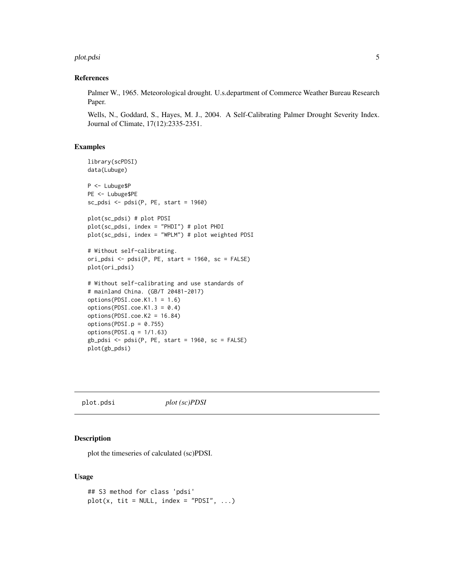#### <span id="page-4-0"></span>plot.pdsi 5

#### References

Palmer W., 1965. Meteorological drought. U.s.department of Commerce Weather Bureau Research Paper.

Wells, N., Goddard, S., Hayes, M. J., 2004. A Self-Calibrating Palmer Drought Severity Index. Journal of Climate, 17(12):2335-2351.

#### Examples

```
library(scPDSI)
data(Lubuge)
P <- Lubuge$P
PE <- Lubuge$PE
sc_pdsi <- pdsi(P, PE, start = 1960)
plot(sc_pdsi) # plot PDSI
plot(sc_pdsi, index = "PHDI") # plot PHDI
plot(sc_pdsi, index = "WPLM") # plot weighted PDSI
# Without self-calibrating.
ori_pdsi <- pdsi(P, PE, start = 1960, sc = FALSE)plot(ori_pdsi)
# Without self-calibrating and use standards of
# mainland China. (GB/T 20481-2017)
options(PDSI.coe.K1.1 = 1.6)
options(PDSI.coe.K1.3 = 0.4)
options(PDSI.coe.K2 = 16.84)
options(PDSI.p = 0.755)
options(PDSI.q = 1/1.63)
gb_pdsi \leq pdsi(P, PE, start = 1960, sc = FALSE)plot(gb_pdsi)
```
plot.pdsi *plot (sc)PDSI*

#### Description

plot the timeseries of calculated (sc)PDSI.

#### Usage

```
## S3 method for class 'pdsi'
plot(x, tit = NULL, index = "PDSI", ...)
```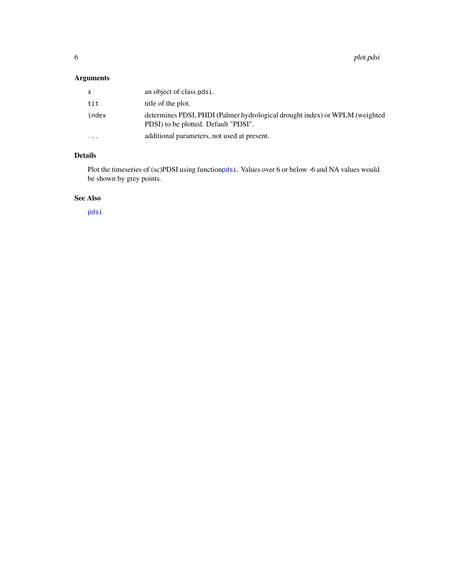<span id="page-5-0"></span>6 plot.pdsi

#### Arguments

| x         | an object of class pdsi.                                                                                            |
|-----------|---------------------------------------------------------------------------------------------------------------------|
| tit       | title of the plot.                                                                                                  |
| index     | determines PDSI, PHDI (Palmer hydrological drought index) or WPLM (weighted<br>PDSI) to be plotted. Default "PDSI". |
| $\ddotsc$ | additional parameters, not used at present.                                                                         |

#### Details

Plot the timeseries of (sc)PDSI using function[pdsi](#page-2-1). Values over 6 or below -6 and NA values would be shown by grey points.

#### See Also

[pdsi](#page-2-1)